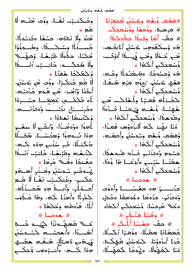هِهُمْ وُمْهُرْهِ وِشْمَعْبُ وضَكْتـــَمْ لَغْــا ووَّد هْنْـــرَّ لَا هكمُك وُسْڤُرُهُ وشُمْعُكُمْ هَٰذُنَارُ لَٰ @ عرهد\. ووُهعُ*ا ووُسْعدكَ*ب مُع ٭ هَٰنُهُ ولَٰا نُكَاهَ». حمّهُا هوَٰزِيُـْه). *®* حقٌّ، أَمُّا وضَّهُا حدُّه كَمُا كُسِيرُلُمُّا وِمُمْكَنَّكُمُّا. وِهُنَّدُوْدُ رَهُه وَسَكَفُوهِ عُمَيْكُمْ أَلْمَنْصُوبُ هْبِ كَــٰمُلًا وهْبِ فَي ـٰهُا أَاوَٰكَــٰ، هَٰلئا. حذْهاُ هُبُسُا. وُمهُسَلا ولًا هُدڲ؎. دًاتٍ مَ اُنَّكُمُ ا وُسْعِدِكْمِ أَكْمَا \* وَحْكَمْدُهُ هُدَٰ: هُه وِّحسٌّهكُلْ: ههُنْفُسُماً! وِحْتُونَ لًا هُمِ هُتكُمْ!. وذُك هُم هُمْمُهُ: همَّل شَمَعُبُ: ﴿وَذُوهَ هَزُمَ هَمَكَ! ذُسْعِدِكُم أَكْمُا \* أَمِكْنَا وَٱهْد: ۚ هُبِ قُـهِ مِ تُـزُّه ۡـُـهِ . أُه ثَلاثَــــه ٖمَعِيّنَـــا حمّــــــرةُا لحَكَّـ; أَنْ فَعَـبًا وأَلَّمَاكَــد ثَبِ ەخْرْئَـــْ ئْمْ ئْمْــــىمە ۋەدْزْئــــــــ « هُجِئًا. وُجِفَّة وَحِجَمًا دُخَوْا وهُمماًا: وَمُعدكُم أَكْدُا \* وَحَيْنِهِ لَمَاهَ ﴾ ـأَهوَٰٓا هوۡهفُــزَا؞ وَٱمضَــ لَّا معقَـــر ەُمُا بِهُيز ݣُو لَايزُەۋْھە قُعْزًا. وُهِهُم وَّمْهُ وِشُومَيْ وِأَصِهْدِهِ. هِهُا شُــهِهُۥوُا وُهنُّشــا هُـتَـــُلا وْسْعِدِكْمِ أَكْثَرُهُ لَهُ مَنْ ەأىڭتىللى كىم مەڭمىس بوةە گەن. لأَمِمْهِ وهَبْمِعًا. هَاتِمَ أَنْسَلُا حسَّمع وَّەدْزُىُــو ضُـزُّە( ھَــْمِـھَـھُلُّا. حفَّىطُ هَمْلا ضَهْدا \* هكّْتُما مُبْنِبٍ هِأَوْكُما هُا وُهْلًا. لْحَصَّىرِ شَـٰهِمَّٰفُ وِهُــٰ;ُرٖ أُهـــةُو وُسْعِدِكْمِ أَكْمَا \* حكسو، وحُتكْمَءُ لْغْسَا لَّا هُــع 2 Ludan 2 أَحْسَفُلُمٍ: وأَبِيهاْ وَ٥ هَجْسَخُلُفُ: لِكَبِراً وأَهزَا لَحْدَهِ. وَهُا حُكِّفِ وُّەدْئُبْ: حَزَّەھُل مِكْمَعْصَل ەكْتَى أَبْلَا. قُذُّهِ هُم وِكُلْهُا \* ەڭلا ھُرمسُا. وُسْعدكُم أَكْ1ُ9. ه وهُذبُا هِذُمُكُمْ \* 2 Ludar 2 *ه* حقٌّ: معمَّسُا ٱلْمَكْرِ ه بُمِــهُ هُـهِــُـهُ أَنْا هُـهُـهُ هُـــهِ كَعفائا هِمَّىلًا، وزْعَبُرا أَكْمِلًا، أَهُمِـــَٰٓ; )، هُ هَـمَـْـــهِ لِكَــُــهِ مَمْكُ دَّ:ا أُخُووٌمًا، حَشَمَعُ هُهكَـه. يْ مَعْشَمْ مِكْمَدْ الْمُدْسَمَةِ مِعْتَمَى هُمُا حَمُمُوَاً، ويُوصُل كَعهُمُاً، ہِ 16 مُسْبَمِہوں تُکے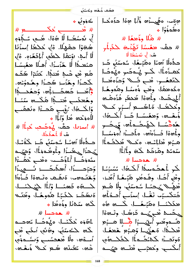هِمُم وَمُدْهِ وِشَمْلُهِ

مُهُوْوِبُ \*  $\hat{\mathscr{R}}$   $\hat{\mathscr{C}}$   $\hat{\mathscr{C}}$ لَّى سُمْعُــا لُّا هُهْا. هُـــــمِ سُــكِفونِ هُـقوْا حفْمِلًا. وْلِي كُـكْعُا إِسرُّنُا لًا أَحِبْ رَوْتِهْا حَمْثُمِ أَبِادَهُ; وَلِي هِنُعْـٰٰهُا لَٰا هُزُـٰـزُا، أُهـِلًا هِمُبِينُـا هُم هُم شَدِمْ هُتبْرًا. كَنُبْرًا هُضُم كْحِبُرْا وِهُنُّتِ هُجِبًٰا وِهُدُوْيْهِ. وَّأَهُــــز صَّهضَـــزباُ 200 وَحصُّحـــداً وهُعنَسٍ مُتبْأًا هُكْسُ مَمْـاً وَالْحُــوَٰا، رُفْعِ هَدْ: ونُعِمَــعِ لأُدوْكُده هُا وُ} بَا مِ ه امزيان حقَّ في مُحمدٍ كَرِمًا هِ هُّ لَا غُمكُكُلُّ. حـمْهِلًا أهمُـا شَمِمْبُ حَـٰۂ كَةُسْاً. عرضي المفصفون وأستفرر انحرز مثَّەوْحُـــا ٱلمُؤَحُّــــە، وقْب ثَقُـــةُا وَدَدِهِ أَنْ أَهْلَمُ حَرْبٍ نَهْ وَسَدَدَتِهِ وَسَدَدَتِهِ وَسَدَدَتِهِ وَسَدَدَتِهِ وَلَهُ مِنْ وُهْلُهِ مِنْ وَلَدْهِ وَلَدْهِ وَالْمُؤَارِّدُ وَالْمُؤَارَّدُ لمستكركم الملأ والمأا للتهلئسان هُىشَكْ: حَكَّبًا هُومِعًا. وِهَيْب لك**ره مَكْلاً وؤُه**ْلًا \* 2 Lusan 2 لمَحْدَثُ مِنْ مَوْدَ الْمُحْسَدِ مِنْ مَسْمَدِ كُلُّه لِمُشَمَّلُونَ وَهُنَّهِ أَسَكَّعٍ هُج ٱ؎ٛ۞؞؋ڵٳ؋ٛڡڡۺؙٮ؋ڔٚؠۺٛ؋۫۠ٯ دُه. كَعَمْلُه هُم كَمِلاً وَمُصْهِد.

المدْمِنْدِ وَهَيْ أَوْلِمْ مِنْ الْمَدْمَدُ الْمَسْتَمَرَّةِ ەھھۇۋا ھ @ هُلُّا وذُهِهَا @ *®* حقٌّ، همَّسُا نَهَّزْمِهِ حَكَرِلُر هُّه: ﴾ شُمْعُا لُل حدَّه للَّهُ أَبْعَاءُ مَا أَمَّةٌ مِنْ اللَّهُ مَنْ اللَّهُ مَنْ كَعِنْوَمُاْلِ لَكُــرِ وَيُـوَضَّرِ وَيُوَضَّا لمَنْعفُسِ، شَمِيعَ شَمْلاً وَجِزَهِ هُمَا ەگەھكا. وڭى ۋەممُا وھڈوھُا أَلْمِحْمَدْ. وأَ96ا هُدهُمْ قُزُّهِ هُدا وكلحُما، هَاهُمـع أَسبُرٍ كَــلا ذَٰهُـــهِ. وَهمُسُـــا صَــٰزِ أَلَكُـــهُا. هُوَهُّمُا لِلْهُمِّدُواُ»، كَيْخُص وِلْمَهْمَا جُسْؤُوْاتِهِ، وَلَمْسَنَّرْ أُوفِعُسَا هؤم هْلِكْتُهِ: مَكْلًا هَٰكْشُمَلًا مَّمَتَمْ وِهْزَهُمْ لَكُلُّهُ وِلَمُلُمْ 2 Lusan 2 لْحَدِ لْمَحْدِمِيمًا أَجْدَهُا: مُمُبْئِهَا وهْدٍ أُحُـا. وهُـ٥هُدٍ هَٰٓ;حُمُـا أَهُـ: هُجْلًا ۖ حِنُـا شُهِمَّةٍ. وِلَا هُــع كُتكْمِيَّە نْقْمَا، إمنَّى أَصْدُلُه هكَكْسًا وهُبُعُسًا: ݣُــُرُو رُوُو اةَهَا، المُهْنَمُ صَرِّبُ هُمَشْر هُــوهُــبِ أَمِيَّـــزًا هِّـــاا هـــزم هْكَمَا، هَمْنُي الرّْمُعْمَا، هُونُصِـزْ، جُكْمُخُصْـهِ أَل كَحُكْـــوهُم أَسْكَسَبٍ: وَكُعَثَمَسَ ثَعْلَـَــهِ دَيْمِـــهِ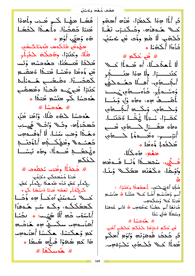هِهُمْ وُمْهُ وَهُمْهُ

فْعُمَا هِهُا كُـوٍ مُـنِي وِلْمِهْا هَٰىمًا حَمجُنْزًا. وأَحفُّا حَجُمُّا  $\bullet$   $\circ$   $\circ$   $\sim$   $\bullet$   $\circ$   $\circ$   $\circ$   $\circ$ هِمُوَهَى هَالْحُوهَا هُوَوْتَالْحُيفُونَ هُلًا، وكَنُتْزَا، وهَحكْفُ حَدَّدُمْ كَلاكُل كَتستَكْتُلْ: هِمُوَهِنْدُ وُنَّب هْمِ وُهِ هَٰا هِ هَٰنِسًا هُتِيْهَا هُ هِعَْسِعِ كُمصُـــَةُ!. ەمُىعُىـــى مَـــەئاْبِــا حَسَّبْهِ اشْعِدْ مِنْ حَيْ ابْتَنْدْ هُ حمُداً لَكُو هِنَّمْهِ هُتِمَّا ﴾ A Lisan A هُوصُل حَدَّه هُلًا، وَٱهَٰذِ هُنَّى كُهكَنْ بْهِ وَشَيْلًا وُٱكْلًا فَهَيْنَ ەھْكْلْ وْهيب مَمْنُـل لَّا أُوْقْسـەھ كُعتُـه لا ومْدْهُكْــدْ، أَلمْ دَنْـــدِ هِ يُحِثْبِ هُــواًا. وِهُو بُمِنْـا لمككع & حُدةُ1ًا وهُن، كدهُ٥ & هُزِيًا وُسْعِدِكُبِ مِكْرُوَٰبٍ. مِكْماُرٍ يَحِكَى دُنُوا هُمَعْمَا مِكْمَاْرٍ يَحْكَىِ أَكْرِكُةُ لَٰهِ أَدْهَمُكُمْ الْعَنْظَ لَمْ عَلَيْهِ مِنْ أَحْدِيهِ وَأَحْدَثَتْهِ مِنْ كَــــلا شَـــمَمْنُى أَهْكَـــاً وَهُ وَّحُـــا كَعْعَكْلُمْ. وكُمْ مُهِ هُـُوءُ! أَلْمَمَّدَ أَلَّا هُيَّــــ: \* لَكُمَّـل أهنَّسوهو سكسنيٌّ هو حَذَرْت كُمْ وَحَكْتَسْلَ: حَكْسُلَ أَهْزَمُوهِ هُا كُم هُـقوْا فْهاُه هُـعُـا \* 2 SL Le 2

كَمِ ٱلْمَا هِهَا لَكَحِمْدُا، مُدْرَه أَهْرَفُو كْمِلًا هُـُمْقَتْرَهُ، وِضُكُتَّبِم نْغْمِ ثَلاةَبٍ: لَا هُمْ وِوَّد هُي شُمْعُبُ: ئُذُهُا أَكْثَرُهُ مُا \*  $\circledast$   $\circledast$   $\circledast$ لَّا لَمِجْمَحِبِّلَا، أَو مَجِيماً! جَجِيحًا كْتُنْتُ وْلَا 1،0\$ هَنُّـــكِمْ أَجَامِـــوهُ مِ.. أَهـــلا حصَـــمكنُ وُهسُما بُلِهِ. جُنُّه مِسْبَرْهِ يُهِمْسَنَ أَهُـــڤُ وهِ هِ وَهُو وُلِي وُلْمُـــا وُمك رةُهر. وُمك ره أمكن رةُهر كْخَــرْا، سُـترْأَل هُـثَّــا هَحْتُسُــا. هَهُه هَهُ \_\_ مِنْ مِنْ مُصبَّحِ أنتز ب وتحكمت وثم المستحقين هَكِجُوا وُوهُا \* معقور وەكگلا. فَكِّين مْعجماً ذُنَّا فُءِمُدِهِ وَأَوْحَقَا. دَكْمُلُه مِكَكِّلًا وُسُلًا. دُبُّمو أَهْ بِهِ حَسُورٍ، أَحْمَدُه أَلا وكَتُبْتِرًا، 8 أُسِرٍ وَهٰذَٰمِنْكُمْ أَكُلُّ كَذَّا هُ هٰذَٰمْتُكُمْ وَلَا اللَّهُ مُخْتَشَفًا وَلَا اللَّهُ مُخْت هُذِبًا كُلًّا وُسْكُوهِ كَرْنُعُا أَسِ لَحَقَّدُا غَاهَدَهِ ۚ قُ ٱلْسِ خُوصًا ومَّعلًا هُجِّ مُذَّا ه هدّه دسًا ۶ .<br>في حُكّم مُجْمَد كحُكّم حُكمَّب *أهُ*ب كَمِ كَـٰدِكُمْ قُـٰهِمْ بُنُه ۚ وُٱوُمِ ٱهكُـٰوِ هُداً كُمِلًا شَكْمَةً مِ كُمْ وَجَوْمٍ.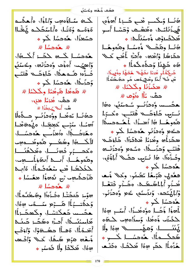هِهُمْ وُجْمُهِ وِخْمَعُبُ

لْحَدَةِ مُسَاؤُهِ وَالْمُؤَارِ وَاُحِدَّمَ ەُوْەً؎ ۇەْتُـا، ەٱلمَىڭىدە كَمْتْـال دسِّعزُا، هُودسًا جُرِ ﴾ R Lisan R هُوَدِسُا كُلُّ هِ لِكُسْمَ أَبْكُلُّ هُا. وَّاهِيَّى، أَهوْد وَّەئزُلُه، وشَّمْنُو صُنُّور هُــوهـدًا. حَاوْضُــد قْتئے وُحزُمكًا، حَدْملل كُبر \* ه هُوهُا هُرِهُمْا وِكْلُمْا هِ ه حقَّ هُزمًا هن. هَا أَنْكُبِرٍ مَمَّا أَنْ مَدَّةً دەُنَـا غەھَـا ووُەدْنُـب ھــدُّەلُا أَهُمُا: مُبْمِى لَحِيقِهِا: وَهُوَهُمَا ەھەكسىدا ، ەأھنىب ھەدىئىسا . للَّكْـــةُا وهُعُــــب هُووَهُــــوهِــ ەڭجىسۇم دُەنـــا. ەھَجْدُسُــا وهدوه المسلان أسلط أيضي وأسددت لمحادث الْمَحْمِد مُعْدَدُاً. ﴾ إب هُزْحِكُنُوبٌ رُمِ يُوهُوُّا هِمُنْدُا ﴾ 2 Lisan 2 هؤَ مَنْ هُدَيْنَا وَدُوْهُ وَهُمْ الْمَسْدَارَ وَحِدَّتِ إِلَٰا هَــــرْمِ مَعْـــوَبِ هِءَا. هدًسما دُهكْتسْماً: وكُهدَّجْلًا هَامِينُسُمَا. أَهِنْ مَهْضَع ضَبُّ أُقْدُمُلًا. هُ١الْ دهُـــةوْ!. وُاوْثَـبِ وَّمْدُه هَءُم هُمَقًا. كَمَلا وَٱصْعَد 169 كَكْتْرا وْلَا ئُەمْبْر \*

هُنُسا وُلِكُسب هُب حُسبًا أُهوْهِ، كَيْ زُلْرُسُكَ: هَ هُكْشَـْتَ وْتَنْسَلُ أُسْرِ كَىلْكُىل<sup>ە</sup>ْھ بْھَمْتُلُّىكا: \* هُنُــا وهُشْــلا وْهِمْــا وهُهوهُــا حجَّزهُا وْاهْدِهِ، وأَحِزْر لَمُعْبِ كَمِلا هُه حَمِبُا وُحِدْهِكُماْ! \* صَٰكِةُ أَر هُٰ: مُا نَكُهُ لا هَٰذَهُا وَوَّى أَلْ َ ثُمِ ثَلا أُمَنُا وِثْدِيۡ هُم صُو حِمۡمَتُمَاۡا @ مِنْبُرُّنُل وِيَكْلِمُكُلُّ @ حَقٌّ: غُلًّا هُوُوْهَا ﴿ هصَّــــــــــه وْدَدْتُــــــــــو مْــــدَمْتُ: دەدا سُّرْمِ أَحَاوْضُدْ فْتَنْبٍ: 2.4 مُحَ هُدوهُــا 16 أهـــزًا: لَمُــدمكُا حثّەم وەدالل ھەجسًا لگىر م هجّْدَاْهِ وهُزْمًا هُدْكُرْاً: كَاوْكُدْ فْتَبُ وۡحَزُىــٰٰهَا: ەــُـٰـەم وٖۡہ2زُنۡــہ وِصُنُّواْلُ: 16 نُـٰزَمِها حَشَّلاً أَبْلَوْيُ. ـمله مسلم الله پ هِمُهلِ هَبُمُا مُعْمَلُو. وكَلا وُمِعَا هُــزُـرٖ ٱٰہللهُـعۡـدِ. ٥كَــزۡرٖ ثَتقَــل وْ}لِمُكْحَد، وُلِلَّسْتَمِ شَامَ وَٱوْحَزَّلُو، | هُ٥دسُا لگر ﴾ بِأَهْوَٰا وَجَعًا دَوْءَهُــزَّا. أَمَيْ هِءَا لِلْمُنَيْنِ وَوَهُدًا: وَسِلَمُ وَمِعَا لِلْكُلِّهِ وَ يُسُلْب أَجْمَهُمْ مِنْ وَامِ الْمُجَارِدُ ھُعگُــەلُما. ھُەجسُــا كُــــو \* هُزُه)اْ حكَرٍ وهوا هُككُما، وكُلْبُ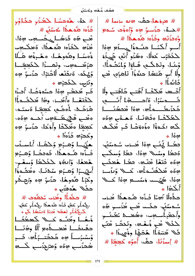هِهُمْ وُمْهُ وَشَمْلُو

@ حةً : حدُّدسًا كَعُـزُرِ دَخَّاؤُرِ ثَرُّه! هُمْهُمْ الشُّمْنُي \* هُب هُ منصب الله عنه هي من هُنْزُه لِكُنُّهُ هُمَهُمْ وَهُ هَدُلِهِ وْهِيْمَا وهُوهِمَا، وهُبوْنُ هُـلًا وَّلِكُهِ، هُنظُفُ لَّاهُنبْزاً، حزَّمِزٌ وهِ وترمها لمكتبره \* كُمْ هَٰٓدَهْمِ ۚ وَهُۥ حَسَّوَحُـا، أَصَرْا لِكْفَتُهْمَا هِأَهَمَـٰ: وَهَٰا هَٰكُمْـُـوَلَمَا هُ;كُـِمْ: أُوكُـُم كَعِقِبًا وَسَمْـوَ: ہ مُحبَّ شَکرُکُم کُمْ کُمْ مُحبَّدٌ مِنْ مَدَّمَنٌ مَسْکرٌ مِنْ مَدَّمَنٌ مِنْ مَدَّمَنٌ مِنْ مَدَّ كَعِقِدًا مَعُكَّفًا وأُوْكُلُ حَزَّىبٌ وَهِ وكحزِّره حُزْهاا ﴾ هنُّى الوَّحدُم وَحَدَانَ ٱلمسلَّب صُـٰٓ;ُہ، هـُـمملًا: ضَعضُـل وَهـــرُم هْعِمُلْ. وَٱللهُوَ لِلْكُلْعُلِ وَمِيهَــبٍ. أَمِلَىٰٓ أَوْحِبُوا مَكَانُهَا. وَهُشُوؤُا وكَبْطْ هُومِهَا. حنَّىرٌ ۞ وَرَجِـدَٰرِ حثُلا هُەفتُن \* @ حدُّماً! وهُن، كدهٌوب @ بِكُملُر كَعَى حُزُهَ! هُمَعَهُ! بِكُملُر كَعَبٍّ. تَكْرِكْتُهُلُو تَعْقُلا قُدْتُا ةَسْتَعْمَا كُلّْ \* وَّمشًا وهُلُّـه كَـــلا كَعمعُدًــا حفَىكُــا مُعـــدُّەم ٱلُّا وەمُـُــا وَّىسُبُنَــاً ۞ه كُـدَّتَــبُاَ». كَـــبِ ھُڪزُب بِہوَہ وُمکرِجزَیے گے۔

الله موزها. حقَّ، من تزمما همشةً، جزَّمت وَ وَادوْد شَوم وْوْدَرْنْيْ وْدُرّْوا هْوْهْمْاْ ﴿ أُسِبِ أَكْسُلِ حِثْ٥ُوٰلَ حَسَنَ وَالْمُسَلَّمَ وَوَالَ لِكُتِّبُ لَمَعلًّا، مَهَّنُو أَنَّهِ كَهِدُّوْ وۡنُـٰہٗ. وِنۡمَكُـٰڡٖ قَـٰاۃٖا وَٰٓاٰئِـضُـٰٰڡاٗ!. وِلًا أَسِ هَٰتهُا حِنُّوزًا نَاهِ ۚوَى هُبِ | دُانُه£ُا \* أَضْــهـ هَـٰذّثْــا أَهَّتــح كَاهَّتــح ولُّا كَحْزُمِعْـَـــمِلْمِ وووا مْحمْمُنْــــا لمَكْتُمَا وَدُوْنَا: هَمْهُمْ وَوَوْهِ كُه بِكُورًا وَذُورَكَ كَرِ هَٰكُـف  $\cdot$   $\frac{1}{6}$ دهُــا کُلُـــ «هُا هُـــزب شَــه مَّلُهُ· ەُدىدًا ومِمَىلا «ەەُل دىدًا وُمىڭىپ رەەّە ئىقا ئىلىمى دىگا مۇھگى ھەّە ھُكْھُشُە، مُكْسِلا وَيِّئْسِز ادة الأهمي، ومعْمد الأهام مُحسن ألحاها حِدْقَالَ آهنُا ضُزْهِ! هُـُمِـهِـدًا هُـزب ئــەمّىُل، ھـكَــــا ھُـــا ھُنُـــــو ، ھَ وأحقّوا أستحبن معككم تحكّمنُسو لمَطْلاً هُم فُمْصُدُهِ، وِنُعَضَّغ هُنَّم ثَلا مُتْمَالًا هَٰذَهُا وِوْيِياً ﴾ ـ مَ إِسْزَنَا. حَقَّ. أُودُه كَعِعْقا هَ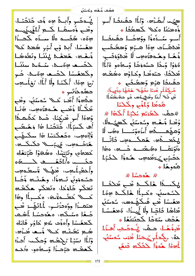هِهُمْ وُمْهُ وَشَمْلُو

لْهِ عَصْرِ وأَبِيءُ وَهِ وَّدِ كُتَكَيْبًا. وهُبِ وَْهِيهُما كُلْمَ ٱلْمُؤْمِنَى مِنْ 3000 مُصَّــه ولَّا مِــــرُه كَحـــرُّا همَّسُلُ، أَبِهِ قِي أَجْرِ هُعِهِ كَلا ذَمْسُرِ مَعْهُمْ لِمُنُا وِنُعْدَهُمَا لْمُصْلُّم مَنْ مِنْ مُسْمَّدِ مِنْكُلُّ وكَعْقَسُا كَثَنف وَةَسْكَنَ ثُبَرٍ ْرِمِغِ ۞هُ أَنْكُسُلُ وِلَا أَلَمَا الْمُؤَمِّلُ مِنْ الْمُؤْمِنَ دهقٌه دُ:ُنَسِ \* حِكْمُوذًا أَهَد: كَمِلا شَومَعُبُ: وِهُبِ هَٰذُلًا ذُهُبٍ هُـُـهِ صَوْوِي. وَهُلْم وَّههُا أَمِرٍ هُرِيْمَا. ضَمَّ كَمُّصَدًا أَه لَكْسَبْلًا، كُتْكُسْا 1⁄8 فَهُبْكُب وَّ)أەھەب ەڭھگتشا ھا مىگىمَ هُةِحُــــە۞، هَيءُ ـــالا صَكْمَكْــــهِ. كعدةٌ ورُبُّهْدا. وهُتَوْا هُبُتِهَا. حكُــــه هُٰائَمَـــــــه حــــــةه وأحقواً معت مُحقٌ وَمعتَدهم حنَّـه;وبُ نَــه;ُا. وهَنْــُـه وَّحُــا ئعڭر كَاؤْكَا: ەئعڭر ھڭغُـھ كْمِيلًا يُعشُمِّصُوْمِهِ، وَيُمِيرِيْهِ وَالْمَا همُعَــزًا ووَّەدزُنُـــرٍ. لَمُلَكَهُــز مْـــو صُهُلِ مِمْيَكُرُهِ، مِعْوَضِيًا إِلَّهُمِ لْكَعْفَسُلُ وأُونُو هُوَ كَاوُرٍ فَامُلُهُ هُصر مُعَمَّدُه كَمِلًا وَّسِعًا هُنْ هُ: وْݣَالْمَا سْتَوْلَمْ رَجْعْتُوه وَحَكْسَة أَصَوْا كُمِعْدِهِ دَرْدَةُ أُوْسِهُ وَوِنَ وَأَحْدِهِ

ھيُ۔ أَڪُنُرُهِ: وُٱلْمَا حَقَّىنَكُمْ أُسِرِ وْهِ هِمُلْل مَكْلا لْمُعْمَدُلُ مِ أُسِــرٍ مَمْــأَهوُّا وِوَّهوُـــا حقَّىنفُــا هُدْهَـٰٓءَٰٮ وَهُۥ صَـُرْمِ وَهِعَمْـضُـبِ ؤُهُـا وهُـُـوفةُوهِـا لَا شَكْوُوْمُـبٍ. كَوْوُا وُحِكَا حِيثُووْجًا وُحِيثَوو ݣَالْمَا هُكْتُا، حَمْمُصًا وِكْمَاوُه مَهُمْـهِ حَقَّىنغًا هَزُمْ وُهِعَمْعٌمْ ﴾ ضَكِّةُ أَبِر هُنَّا بَكُهُلا هَدَّهُا وَوَّى أَلَّ هُم فَلا أُمُّا وِهْلِيّهَم حُو حَمَّمُعُنَّهُ ا هُوهُا وُلمُّو وكُلْمُا هجعًا: للعَنْصُرِ مُلْزَلِما أَكْثَرُا هُ وُهْدا وُحفُـره وِحُـممُهُ كَـٰهِيُّـملًا. وُهِدَهِ \_\_\_دُه أَمزُهوَّـَــــا ههُ لَا هَوْتِقْطِ هِهْمَمْنِدْ هُ دَرِينَ هِ وَهُ لمَكْتُبُومٍ كَاتَ مُعْدَوْاً لِلْكُتُمُ مْدْوِيْهَا \* 2 Lisan 2 لمحْسَدُا هْلِكْــدْ مْبِ مَحْدُّــا لَحْدُهِ مِنْكُمْ الْمُهْلَكُمْ ١٤٥ ھقَسُل ھُے قَیکْھُےھے، شَوْمَبُ هَٰاهُا دَّاجًا ولَّا لَكِ زَٰا هَ مَعْسُلًا هُدُم مُقدُّل كُحنَّتْهُلُّ و هُدِؤُهُا: حَتَّ: إِنْهَضُصِ أَهِ ذَا حةْ، رِجُملُرِ حِيمًا هُنِ شَمسُكُ: ـأهةًا حَدَّوًّا للثَّكْلُ ثَعَمَّى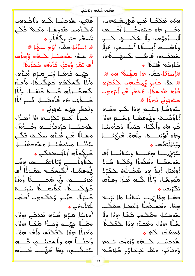هِمُم وَمُدْهِ وِشَمْلُهِ

فْتَنْبِ: هُوَجِسًا كُنْ وَلَاجُنُوهِ ەَلمەتُەممە ھەُوھْلى ەڭمىلا قُكْم وُّمِعْدَا حَبَّ رِجِّةُ أَرِ \* & إِسْزُنُلْ: حَتَّ: أَوُم سَيْمًا & ه حدٌ: حَدُّد حَمْداً حَدَوُّه وَأَوْوُت أَه عُكُّ; وُّەتْنُ ثُنُّواْلِه خُتْزُمْالْ ْ حَيْ؎ٌ حَزْهُمَا وُسْرِ هِـزُمْ هُـزْهِ. هِٱلۡمَالِ كَـٰهِكُـٰهُو صَٰهِكُـٰهُا: هَأُصَـٰٓ; كْھكْزِلُو ضْكُرْفْتْقْدا، واُلْما كُـــكُوْمَا هُ٥ فُـزُّ٥هُـــا. كَــــرِ ٱلْمَا ولَكظَم كَهُك شُوْوِلُ ﴾ گے اُل کے کنڈن کا اُھڈا. هُوَجِبُنَّـــا جَوْوَدُوْنَــــوه وِجُــــزُّواُكِ معُالًا مْبِ مُنْزَه مكْكَ ثَكْبِ مَعْنُسًا مِمْهِهُمُسًا مِعْهِدِهُنُسا. كَرِجُولُه ٱلمُوَّسِعِيْكِ \* لِمَكْوَلْمِــبِ وُمَالِمُتَكَـــمِهِ وَةَبَ لِمُعِمَا الْكَلِمِكَـــلا لِكَفَــزِلُمْ أَف هُذبَــــــــــمْ، ولَى هُـحـــــــــمُّا وُهَٰذَا حَمِكَــــدًا. حَدَّـمــدًا سَبَـــد كُمِّيْمَاًا، دَنُسٍ وُحِكْمُوهِ أَصْبَرَت  $\rightarrow$   $\sim$   $\sim$   $\sim$   $\sim$   $\sim$   $\sim$   $\sim$ أُوفِعُا هَـزُمْ هُـزُه هَٰدُهُ } وَوَٰٓا. ههُــُلا هيْـــه وُهــزُا هُـنْــا هِهُا. وهَذِمْ العِدْمُ الْمَكْتُبُ وَأَهَدَ وَوَا: وأحنُساً وه وأحصنُه و صُد مَتَنفُّے، وَهُ أَهْلُهُ مَسْنُوْنَ

ہوّہ مُحْکَمِ اللّٰہُ عَمَلٍ مَعْہَدِہِ۔ ەكّىب ، ھُە جىنُەوْكُـــا أُكْــــمِ لَّاـِـــزُەۋەمە. ولَّا ھَگىــــى گـــــو وأَهَّـــد أَبِـــدًا أَمَّـــون هَولًا هُعِدٌ مِنْ وَزْهُــب كَسْهُـــدُ مِنْ حَاوْحُد فْتَىْدًا \* امتُ الله حقَّ، وَا عَهُمْلًا وَهِ 2 ه هغٌ: حزَّمِ يُحمُدهِ للكَحْرِهِ كُزُّهِ! هُمْهُمْ أَنْ هُجْعَةٍ هُمْ أُنْتُرُهِ مِنْ حىثەووبُ نُ۞ووُّا ۞ مْدَوْحًا وَمُمْسِع وَدَا كُلِّي دَيْدَهِ أَمْؤَكَّسَــدْ، ويُّـ9هُــا وَـعَّســع جَ٥أَ دُرِ ۞ُه وأَىكْمُا. حمّىلًا هُحزُّهمُا وِهُهِ أَاوَّسْكُ: وِلَمَهِهُمْ هُرِجُهُ ا وؤيّا أتكّص \* مَذْوِي الصَّامِعَةِ وَمَكَانُــا أَه هُمعَصَّلًا مِعُثُوذًا وضَكُّه ضَبْهَ أَوْهُدًا: أَبِيءٌ مِهِ هَجَاءَ أَنْ حَكَمَدُ هُدوهُـا. وْالْمَا كْــرَه مْــزَّا وفُــزْه ئڭىمى ، سمة المه لنامم بمركاه والمشا هِهُا، وقْعَلْمُهُما وُخْفِيا حِقُكُب هُوَصُلُهُ وهُكُمْ هُنْمَا وَوَٰا وَلَا هُمُلْا هِهْا. وهُدِءٌ هِهْ لِكَكِكْرا ەھھەكز كەن ، هُوصِيُسا لِمَسْرَةُ وَاوْوُفْ شُنْدُمْ ؤەدزُىُر، ەڭكَر كْرِنْداوُر كَاوْكَ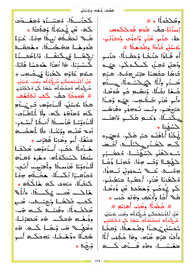هِهُمْ وُمْلَاهُ وِشْمَعْبُ

لْكَحَزُّمِيكُلْ: هُهِيَمْيَـزُوْ هُهِـهَـوْآمَدِ كُهْ، هُم هُكْمُهُ أَا وَهِهَٰضًا ﴾ هُــلا نْحَقُــدُهُ رُجِـدًا هِهُـا. كَــَزِـا هُومُها هِهُمغُندا. وهُجعُندا تَمْ تَكْتُمُوا أَنْ سَاءَ أَسْتَكْرِهِ مَا يَهْتَكِيهِ كَسْبُرُمُلْ: 16 أُهِزُا هُوصُل قَامًا. حَسَّمَ كَاوُه لِمَعْنَا فِي حُمَّهِ \* هُنَّى أَلمُ مُعددَّكِ حُريَّكُهُ لُه ۖ وهُ: مُهَمَّكُ:<br>حَرِيْكُمْلُه هُحَجُدُهْ لُه مَعْمًا لَّكِ هَ كَكَنَّتَهُ *۾* هُدودُا حقَّ، گُدي ٽوگمُڪ ھَكُلْ شَمَعَّكٍ. لَّاسُزُەۋْھە كَبِرِكْسَلَّام **كْ10 هُ هَدَرُهُوْ كَلاه. وِلَا لَمَاهَـٰزَى.** لَّامُووَّـٰہٖ هُذُمِــٰهُا أَبِــٰهٗا أَمِـُّـوِب أهى كُنْسِهِ ووُغْنُسا. ولَا لِمُعشَسِهِ حلَقًا، أَس وهُزمًا فَعزِّب \* هُـزُّه أَل حَضَّرٍ. أَــزُهوْهم هَٰكَــُـل مَعْدَهُا لِكَمْتَكَدُمْاهِ، مِعْرِزٍ هُجِيَّةٍ لَّامُرُهُوَّمَّا هُزُمِيكَا وِلَمُحَمِيبٍ أَنَّهِ وَ كَحِزْهِــرُا أَيْكَــاًا، هِجُــدُهِ «16 كْتِصَلًا، مَمْهِد لْحُبْهِ هْلِخُلُمْهِ \* هَالحَـــه مْســه لِمَحْـــدًا: هُلْمُلا كْحَبِّ ثَكْفُ أُورُجِمًا هَن ثَمَّ هُكِشُواْ، وَفَسَيْكُمْ كُلْسُرُهُ رَوْبٌ، وؤُسڤ 20 هُ حڪمد هُ هُ هُڪمُ ُڪلَ ەقْعِيمْسِكْ بُھُبْ وُجِعْسَا جُسْمَةٍ. بِهُو ھُصلًا ەۆھَىكَ)، ئەھكىۋە أسو  $\leftrightarrow \stackrel{\circ}{\leftrightarrow} \stackrel{\circ}{\leftrightarrow}$ 

وهُكِثُهِ أَلْمِ ﴾ إِسْزُنُا حَقَّ، هُوم فَوَهَكُوهَا َّكُمْ: ڪَنُسِ هُٰذُبِ وُٚاهوُّڪ وُهِڪُرُسُو، هُمَنُو دُرُّهُ! وهُمْهُمْ! @ أُه قَـاؤُا حنَّىئُـا وَّحكَـٰٓٓٓٓہٰاًا: حنَّىــو وأهلِّ ةهنَّ كَسكُمكور كهبه كَزْهُا حَثَّهْمًا هَزِّمٌ وَوَمْحًا، هَـزُمْ هُنُّهُ وَٱلْمَالِكُمْ حَدَّدَاً جِنَّةٌ كُنْمَا بِدَّنَاا، وُبْعَيْنِ ذُنِّ هُوَهُنَا، وأُسِ هُذُبِ اضَكُمُوبَ: حَيْءَ وَحَذَٰٓا كرُوهُكِ ولَـٰب لـُـهِ وهُو وهُنْهُــد حَمَّتُــُلاً، وَكَــــع هُكُـــرٍ هَاهِـتَــم الحمّىمُتا \* لْمِكْتُا ٱلْفَنَّد حَمْ هُكُو، هَعْهُوه كُمْ مَا الْمُسْتَمِنِ مِنْ مُمْسَنَةٍ مِنْ الْمَرْسَى مِنْ مَا كُمْسِيْنِ مِنْ مَا كُمْسِيْنِ مِنْ ئــە\فُسُ \مَكَنَّةَــْل هَىفَــبُر لْكُهِّيْدَاا وِّصُّد هِهْا. دُه بُمَا وَّهُـا 30 كىلىلا ئىسلاھ بۇرۇپ ئەسرەۋا ەْݣْݣْدْمَا ھُنُنْ، أَحْشَىما ھمْقْبِر، ﻼﺭ ﻥْﻋﺼّﺮ ﺭِّﻌﻌّﺪA ﺷﻲ ﺫُﻭﻣُﺪﺍ. هُلا أَحُل وأَلْبُده وهُنّه خُزم \* @ حُثُماً! وهُنِم أَهنْهُمْ @ هُنَّى ٱلمُخْتَخِطِينَ شَرِيَّكُمُلُّهَ وَهُن<sup>ِي</sup> شَمَّبُ.<br>ضَرِيْحَةُلُّهِ وَحَضَّوْلُهِ مِّعْمًا يَّجِ وَحَكَّنَّتِّب شَەمَنْبُىْ حَـزَٰا وِهْـَەـمَدَا؛ وَٰهَـدُـا وأَحِزْر هِبُور هُنْزُوهِ، وَهُلْ حُكِّمُوْبِ أَلْمَلَا همُسُل: ەەُە فُـــأما لَــــة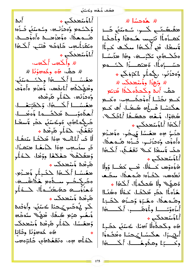هِهُمْ وُمْهُ وَشَمْلُو  $\mathbf{\omega}^{\mathbf{y}}$ أباؤ مكعدكب \* وَلِحْشُومِ وَوَدَٰٓزُلُسُو، وِشُومَٰئِي ضُـزُّوا هُـــوهِـدُا. وذُهِنْوَهــدِ وأوذْهــد. ەڭگزامەت كاۋكى قتئے. أَكْــْ116 أباؤ مكعدكم \* ک واَلمحدہ اُلحدہ۔ ® حقٌّ، 60 ومُدوودُلُ<sup> @</sup> همُسُـــا أَكْــــةُا وِكْــُـــهِسْبُ. وفَدِيَّكَ أَنْ الشَّمَهِ . وَ مَنْهُمْ وَأَوْوَى وُّەدَزُلُه، حَدُّلُر هُرمُّهُمْ هِمُسُطِ أَكْدُهَا. وَكَتَبَتِمْهَا. أهدَّووُ \_\_ د هَدْدُ \_\_ ه ـ وَ و هُـــا. كَرِجُه اهُمِ هُوشُمْنُو حَثَرٍ وُسِعْدا ئَقْعُكًا، كَمُلُرٍ هُرِثْكُمْ \* لًا ضَا ٱلمَلاَّلِــــلا مِنْ الْمَحْـَـٰطِ مَعْنَفُـا. كَمِ مَعْ مَصْرَفَا لِلْأَمْسَا هَدَهَ أَنْ وَهفَكَفَلا حَفَّكُمْا ووَهُا، كَـهُلُر هُرِهُمْ وَٰمُعْدَكَ، و همَسُا أَكُمُّا كِتَبِلُرٍ وَهِـزْمٍ. ەكرېڭىكى مىلەەم ھەكاشىسە: ەْھۇۋىسە دەمھىئىملار كىسەلمې هُرْهُمْ وُسْعِدِكُ \* لْكُمْ رَبُّ هَجْمَا لِمُحَكِّبٍ وَأَوْثَقَطْ وَّىمُىرِ هَءُمِ هَٰىئُكَا. شَهْكَ مُدَّدُه وُهمَّسُلْ: حَدَّلُر هُرِهُمْ وُسْعِدِكُت 6ه گەھۇنا وڭاتا كْمُلُمْ مِهْ، وَتَعْكُلُهُمْ دُّلْتَبْوِهِ

R Lioce R هقَمقَتَـــع لكـــو، شَـــهتَمَـٰعُ كَــــز كْعِجْواْ لَرُبِيب حُـُوشْ وِلْحِكْل وَّمعقًا: هُم أَكْـهَٰا مِكْـِ مُّذِلَٰا ەئكىۋە ئېتېمە . وەا ھەسىل حسَّـــرُه ألم هُ هنهــــرُا لِحِسَّـــه م وَّەدْئُس، رېگەلُر لمُكْبُونْگ \* @ وبُرْمُزْلُ وذُبْبِعْدِكُمْبِ @ حفٌ: أَبِيهِ وَجَحِدُّهِ جَدًا هَٰذِيَهِ كْمِ بِمُثْلِ أُهْوُمِهُمِهِ، مَكْمِ هكْتسْه فْجِلُ» هُمعُها. أَفْ كُنْتُمْ هُ تَوْا. وُ هُ مَ حقهُ عَفَلا أَلْمَكَـــلا. أَكْدُّا ٱلْمُمْعَنِكُبِ \* جَنُبَرٌ وَهِ هَمَّسُلٌ يُحِجُرٍ. وَذَهَبَهِم ەأەۋْت وەدزُىُـــر. دُــزُە( ھَــْمَـھكُلْ. حنَّد وَّمِعْدَا حُمِلاً تَقْصُلُهِ: أَحْدُوا أاؤَمِّعدكَ \* هُؤُهوْها كَـــةُلًا: هُــــع كَعْــــل وُولًا يُعثَمهن كَحُزُّه، هُـمعمُل محَـم هَهَمْ ولَا هُمحكُم أَل أَحْدُهَ لِهِ هُزُه أَل حضّ هُكْدًا، كَـهُلًا هِهُنُـال وهُـهههاً. معُـَزِو وَحـزُه للحَـزِلم أَمْرُهُ وَيُـَـــــــا وِلْمُوهَـــــــــرِ. أَكْــــــــوْا أأأؤ متعدكب \* هُه وِكْحِدّْهُمْ أَرْهَا. شَمَعُهُ حَضَّرِا أَمِلَىٰ أَوْ الْمُحَمَّىٰ الْمُحَمَّىٰ الْمَحْمَدُوْا وبُحِّيْهَا وهِدُوهُ بِ أَيْحُ هُا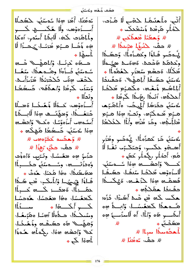هِهُمْ وُمْهُ وَشَمْلُو

غَەھُىُلُ: أَهُدَ وَوَهُ اَ شَوَعَىٰ لَمَ الْمُحَمَّلُ أَبِّ وَوْهَا. وَلَا هَكْسَــــــهِ كُـــــــــو وِلْمَاهَٰ; لَا كَانَ الْمَالِمَ أَمْدُو. أَه كَا ہوہ ذُکُما ھےٗم هُٰذِکًا کے کا لَٰا أسمأه في حـةه مْدِنُـا. وْالمِهْـــلا حْـــد سَّمِيْكُمْ شُبُّوْا وِهْسُمْهِدَا. يَنْهُسَا لِكْمُقِي هِقُبِ شَكْشَتِيْكُمْلِ هَٰذَمِنْ أَسْكِي وَتْتَأْبُ كَرِيْدَا وْاْحْذَفْلا: خْتْبْعَمْعْدَا ونْحُلا \* أَسْزُهوْهم، كَسْفُلًا وَجَمَعْكُمْ هَلْمُلَّا حٌتمُــدًا. وَهِيَمَــْــهِ وِهَا لَابِــدَا أَمْدُه مِن أُمزُهُ وَمُمَا وَالْمَحْمَلاتِ وَالْحَقْدِهِ ٥% شَمَعُهُ ضَمْعُهُ هَهِكُمْ • @ وُهضُبه كُتَمُ٥٥وَ **& حقَّ: حَنَّىٰ رَجِزًا &** دَّنُبُّ ٥٥ همُسُلًا وِنَّىِّهِ ٥٥ هُوَ وْهِ دَٰزْنَــــــره. وشَــــه مَمْنُ حَكَــــــرِ أَل هِ هُمَّدُهُ اللَّهُ وَهُ الْمُحْمَلُ هُوَ \* قَاذُا فَيُحِيُّا وْالْمِكْمِ: هُبِ هَمْلًا حصَّــزلَمال هُ هجّــــز گــــــو گــــزلَما كُعِمُسُلْ: وَوُّا هِمُحِسَّلٍ: هُوَجِسًا كُبِ أَكْسُواْ \* إِنَّا \* مِسْتُرَاْلِ ومئىكىداً. حـدُّەلُا أەمْـا ەھَزْمَعْـا. وُهِيْمِيا ۞ هُ حِيهَيْدُ وَوَّهُمَدًا. كَمِلا وَاصِفُوه مِهَا. رِجُماُه حَسَوةُ  $\ast$   $\leq$   $1$   $\delta$   $\circ$   $\hat{L}$ 

أُتُب: مأهنَّهُا حدَّب لَا هُـزُد. لِّكُفُلُو هُوْهُمْ وُسْعَيْنَكُمْ \* **& وَحَكْمًا مُعَذَّكَبِ** & ® حقٌّ: حدُوْلِ هؤملاً ® لِمُـوصَّرِ فَـاذُا وكَعـزُولًا، وَحِهَــدًا الْمَسْرُمِهِ 10 دُهِمْ ١٨٠٠ مِنْ 10 د هَكُلًا، هَحِقُمِ مَعزُرٍ حَمُعَةً اللهِ هُمَنُ حِهَٰىفًا ٱلْمِهْلاءِ هُحِفَّىنِدًا أَبِلْلْهُبِعْرِ وُحْصُرُهِ. وَكُعْبُرْهِ هَٰكِئُمَا أَحْكَمُهِ. ٱنُعَمَّا ,هَٰحَمَّا كَبِيْعَا \* لَّهُ مَمَّلُو حَدَّرُهُمْ أَمِّلْ مَثَّلَ الْمُحَمَّدِ هؤم هُده مُؤْمٍ وَيُعِدُّ وَهُمَّ هُمُ هْلِمَلْمِيهِ. وحُز هُنْزه وأُلْمَل للحُلْمَعُل هُمَمُّلُ هُ; كَعزُه)اً: رُهُفُس وهُزُر أُهــهُو حكْسو، وُحمّكّــرِّ، تَغْــا لُا هُمْ: أَحَفُلُرٖ رِجُمِلُرٖ كَعَبٍّ \* كَمَسْلاَ وَاحْقَمْ مِنْ هَا أَنْ هَدَمُكُنْ لَّاسُزُهوْها هُكْشًا مُنْقُاً، حَهَّمَقًا كَعِمْهُ مِنَ الْمُؤْلِّمِينَ وَلِكُمْكُمْ حقُىئا مەڭگە ھ هكْسا كْلَاه مْع ضْلا أْهُلْتْزَا، فُزْهَا هُــــهِـمُا كَعمُـسُـــا وَابِـــمُّ ٥٥ أَمِكْمِسِ رَهُهِ وُالْمَالِ أَهِ لَاسِنَّمِسِيَّ رَهِهِ معَهُ صَبِّي أحدُه بمدُّا من الله ا ه ح**مْ. مُومُل** ه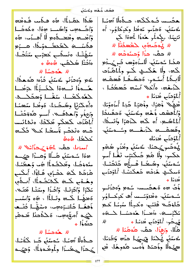هِهُمْ وُمْهُ وَشَمْلُو

هُمُّا حِصَّۃِ أَلَّ وَّهِ قِيمَ مِهْ قَوْمُوهِ وَٱحۡـــوهِــ وۡٱهۡمــــ; هِهُۥ! ۚ مَدۡمَـــا وْاهْدە وهْكِلْمُوم لَا أَكِنَّبٍ. 5ْهُ فكأمئ في حكيمة ومُكَّا، مو مَكَمُتْلِ. ەئىنگىپ ئىعترىپ مَتْتُصْلِ A Lioca A

هُم وَۚ٥دَٰۥَـٰٓلَٰہِ ۖ شَمَعُكُ ۖ دُٰٓٓٓٓہِۥ هُمَـهِـدًا۔ هُــوٰٓا نَــوهُا حَكَــٰٓ؛ِلًا جَرَمُــا لمفَمْلَقْهِ مُغْسًا وُهِجُلِيهِ. هأهكْرُبْلِ وهُمحُـزِمْ. هُوهُــل مُهمْـل وَرُهِ وَإِنَّهُمْ وَالْعَمَاءُ أَسْبَرٍ هُدَّوَّ صُلَّلًا أباهّزُد كَعِنْدِ مُتَكْفًا. 15هَائِيت كُم مَنْدَكَ وَمَعْدَلَ كَمِيلًا كُلْمَةٍ  $\bullet$ 200  $\bullet$ 

امزار حقّ اهْزى حدّْائِلا ، اهم الْمَسْمَعُ مُسْلًا وُهِــٰزًا حَبِّــه مثَدَوْحُلْ: وِهُكِشُدْلًا هُبْ وُهِعَمْدًا: هْزِحُمْ لَاهْ حِضْرُهِ، قَارَةُا: أَسْكُب وهُــةُــهِ كُـــةَ كَـٰهُكُــدَاًا: أَيــدُّهِ، عَكْبًا وُاجَّتْهَا. وَاجُّهُ وَمِعْشًا هَيَّى. ەْھۈكىل كىدە وئىللار ، ھە ۋامئىب وَّقِعُا دُّاتِ وَوِفَ مِنْهُا دُنْد لِّيْكُمْ أُورْؤُوهمْ، هَكِلَاصُلْ هُدْهُمْ حِيثُهُ وُل

2 Lisan 2 حـمْهلُا أهمُـا. شَممَنُ حُـ; كَةُـْـا. عرضي المفصفوا وأستصر انعرز هجَمسه شَمِكْكُم، حَبْوُلًا أَهْلَا هُمَّلُىٰ، ەُحنُّىرِ مُەھُل وِكْبِكْلوُرٍ. أُه لَّرُسُمَا، رِيْحُمْلُو حَثَمَوْا لِمُعَامَلَ لَكَمِ **﴾ لمُؤْمَنُ الْمُؤْمَنَ الْمُؤْمَنَ الْمُؤْمَنَ الْمَرْ**مَنَ الْمَرْمَنَ الْمُؤْمَنَ الْمُؤْمَنَ ال ه حقَّ درُّ أو حسَّوضُه هـ هَكُـا شُمِّمَٰكُ: لَّاسَّرُّەوْهَا ضَرِجُ لَمْ مِ كْتُمْ، وْلَا هْكْسُنْ كْبْرِ وْݣْلْقْنُوْتْ لَّابِــكَمِّــ أَمِنُــمِرٍ. هَجعَمْمِـصَا فَعمقَــم لْمَنْعُمْهِ، وأَيْمِلا أَسْدُهِ كَعْمَعُكُمْ . أْلَمُوْجَنِّي هُذِيًا \* هُدِيَّلاً وْهِزَا، وِوْهِبَا حَزِا أَجْهِوَمَّا. وْٱلْعِشْفِ ذُهْرَهِ وِشَمْئَكٍ: هَحَقَّىنَدُا ٱلمَاهُيعِن أَه كُلُّه كُنْهَا وَٱتَّبَارُا. وفَعففٌ مِ لأَنفُ مِ وشَــومَنُبُ: الْمَاوَّدَ بِ هُذِمَّا وَ اللَّهُ عَلَيْهِ الْجَمَعَ لُهضَىر كِحمًا. ـُهمَّفُ وهُنُر هُدَهُو حكَّىبٍ، وأَلا هُم شَكَّتَبُ لَغْـا أُسر شُەمَىُبُ، وهُمعُما فْسِرلُ، كُتكُسْلُ ەَسگىھ ھَزىدە كَعكتشان آلمۇدَىب هُذِمًا \* ؤُڤُ 60 ەَھڪَىـىم، شَەمْ وُەئزُنُـْب ئےممّابُ: ہ ھُد*اؤنّے۔* اُف کُبِگے اوُہر كَاوْكُدْ فْتْتُ: مْكْرِلًا مْرِسًا كُلْعْ كَكْبْمِـــة، وأهــأ هُوجسُــا لِحــةُو هُلًا: وَرَٰهَۥۢٓا: حقَّ: هَءُهُمُا ۞ مْتَمَنْعِ لَمِنْكُمْ فَيُحِيَّا حَنَّهُ وَاحَدَثَهُ هيَّ الْم وفَصِّي وأُومب هدُّوهَا. ثُمّ